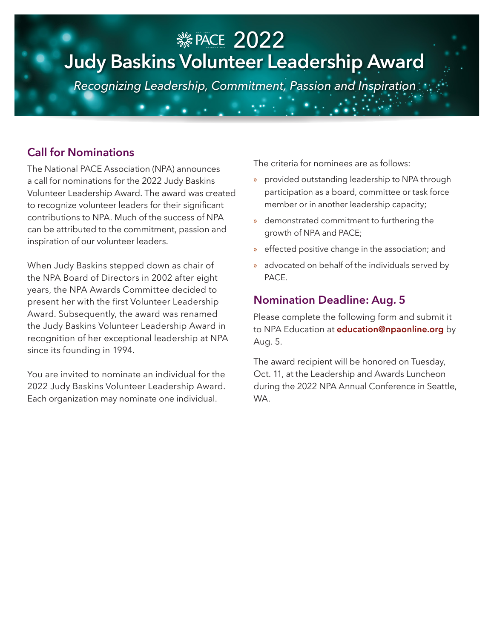# PACE 2022 **Judy Baskins Volunteer Leadership Award**  $\mathbf{v}_0$   $\mathbf{v}_1$  association

*Recognizing Leadership, Commitment, Passion and Inspiration*

#### **Call for Nominations**

The National PACE Association (NPA) announces a call for nominations for the 2022 Judy Baskins Volunteer Leadership Award. The award was created to recognize volunteer leaders for their significant contributions to NPA. Much of the success of NPA can be attributed to the commitment, passion and inspiration of our volunteer leaders.

When Judy Baskins stepped down as chair of the NPA Board of Directors in 2002 after eight years, the NPA Awards Committee decided to present her with the first Volunteer Leadership Award. Subsequently, the award was renamed the Judy Baskins Volunteer Leadership Award in recognition of her exceptional leadership at NPA since its founding in 1994.

You are invited to nominate an individual for the 2022 Judy Baskins Volunteer Leadership Award. Each organization may nominate one individual.

The criteria for nominees are as follows:

- » provided outstanding leadership to NPA through participation as a board, committee or task force member or in another leadership capacity;
- » demonstrated commitment to furthering the growth of NPA and PACE;
- » effected positive change in the association; and
- » advocated on behalf of the individuals served by PACE.

#### **Nomination Deadline: Aug. 5**

Please complete the following form and submit it to NPA Education at **education@npaonline.org** by Aug. 5.

The award recipient will be honored on Tuesday, Oct. 11, at the Leadership and Awards Luncheon during the 2022 NPA Annual Conference in Seattle, WA.